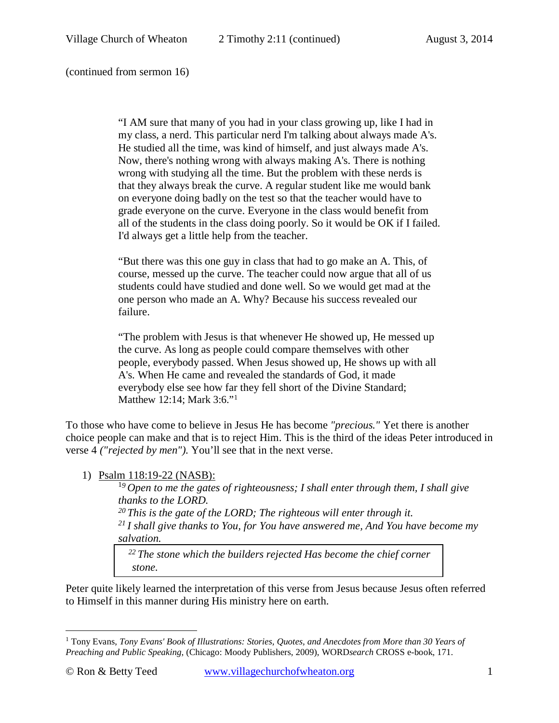(continued from sermon 16)

"I AM sure that many of you had in your class growing up, like I had in my class, a nerd. This particular nerd I'm talking about always made A's. He studied all the time, was kind of himself, and just always made A's. Now, there's nothing wrong with always making A's. There is nothing wrong with studying all the time. But the problem with these nerds is that they always break the curve. A regular student like me would bank on everyone doing badly on the test so that the teacher would have to grade everyone on the curve. Everyone in the class would benefit from all of the students in the class doing poorly. So it would be OK if I failed. I'd always get a little help from the teacher.

"But there was this one guy in class that had to go make an A. This, of course, messed up the curve. The teacher could now argue that all of us students could have studied and done well. So we would get mad at the one person who made an A. Why? Because his success revealed our failure.

"The problem with Jesus is that whenever He showed up, He messed up the curve. As long as people could compare themselves with other people, everybody passed. When Jesus showed up, He shows up with all A's. When He came and revealed the standards of God, it made everybody else see how far they fell short of the Divine Standard; [Matthew 12:14;](http://www.crossbooks.com/verse.asp?ref=Mt+12%3A14) [Mark 3:6.](http://www.crossbooks.com/verse.asp?ref=Mk+3%3A6)"[1](#page-0-0)

To those who have come to believe in Jesus He has become *"precious."* Yet there is another choice people can make and that is to reject Him. This is the third of the ideas Peter introduced in [verse 4](http://www.crossbooks.com/verse.asp?ref=Ps+118%3A4) *("rejected by men").* You'll see that in the next verse.

### 1) Psalm 118:19-22 (NASB):

<sup>1</sup>*9 Open to me the gates of righteousness; I shall enter through them, I shall give thanks to the LORD.*<br><sup>20</sup> This is the gate of the LORD; The righteous will enter through it. *21 I shall give thanks to You, for You have answered me, And You have become my salvation.* 

 *22 The stone which the builders rejected Has become the chief corner stone.*

Peter quite likely learned the interpretation of this verse from Jesus because Jesus often referred to Himself in this manner during His ministry here on earth.

<span id="page-0-0"></span><sup>1</sup> Tony Evans, *Tony Evans' Book of Illustrations: Stories, Quotes, and Anecdotes from More than 30 Years of Preaching and Public Speaking*, (Chicago: Moody Publishers, 2009), WORD*search* CROSS e-book, 171.  $\overline{a}$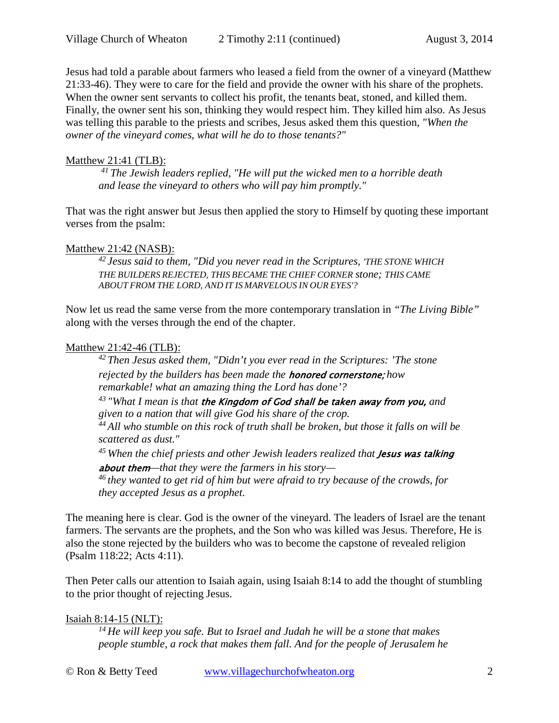Jesus had told a parable about farmers who leased a field from the owner of a vineyard (Matthew 21:33-46). They were to care for the field and provide the owner with his share of the prophets. When the owner sent servants to collect his profit, the tenants beat, stoned, and killed them. Finally, the owner sent his son, thinking they would respect him. They killed him also. As Jesus was telling this parable to the priests and scribes, Jesus asked them this question, *"When the owner of the vineyard comes, what will he do to those tenants?"*

## Matthew 21:41 (TLB):

*41 The Jewish leaders replied, "He will put the wicked men to a horrible death and lease the vineyard to others who will pay him promptly."* 

That was the right answer but Jesus then applied the story to Himself by quoting these important verses from the psalm:

# Matthew 21:42 (NASB):

*42 Jesus said to them, "Did you never read in the Scriptures, 'THE STONE WHICH THE BUILDERS REJECTED, THIS BECAME THE CHIEF CORNER stone; THIS CAME ABOUT FROM THE LORD, AND IT IS MARVELOUS IN OUR EYES'?* 

Now let us read the same verse from the more contemporary translation in *"The Living Bible"* along with the verses through the end of the chapter.

# Matthew 21:42-46 (TLB):

*42 Then Jesus asked them, "Didn't you ever read in the Scriptures: 'The stone rejected by the builders has been made the* honored cornerstone; *how remarkable! what an amazing thing the Lord has done'?*

*43 "What I mean is that* the Kingdom of God shall be taken away from you, *and given to a nation that will give God his share of the crop.* 

*44 All who stumble on this rock of truth shall be broken, but those it falls on will be scattered as dust."* 

<sup>45</sup> When the chief priests and other Jewish leaders realized that **Jesus was talking** 

about them*—that they were the farmers in his story—*

*46 they wanted to get rid of him but were afraid to try because of the crowds, for they accepted Jesus as a prophet.* 

The meaning here is clear. God is the owner of the vineyard. The leaders of Israel are the tenant farmers. The servants are the prophets, and the Son who was killed was Jesus. Therefore, He is also the stone rejected by the builders who was to become the capstone of revealed religion [\(Psalm 118:22;](http://www.crossbooks.com/verse.asp?ref=Ps+118%3A22) [Acts 4:11\)](http://www.crossbooks.com/verse.asp?ref=Ac+4%3A11).

Then Peter calls our attention to Isaiah again, using [Isaiah 8:14](http://www.crossbooks.com/verse.asp?ref=Isa+8%3A14) to add the thought of stumbling to the prior thought of rejecting Jesus.

Isaiah 8:14-15 (NLT):

*14 He will keep you safe. But to Israel and Judah he will be a stone that makes people stumble, a rock that makes them fall. And for the people of Jerusalem he* 

© Ron & Betty Teed [www.villagechurchofwheaton.org](http://www.villagechurchofwheaton.org/) 2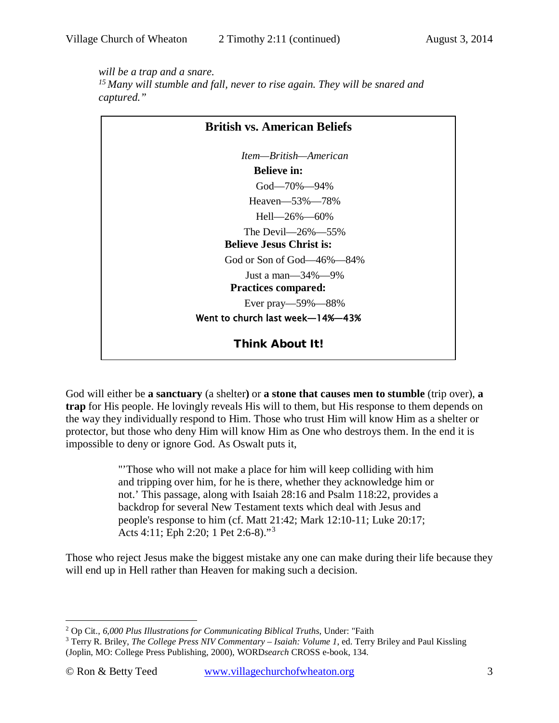*will be a trap and a snare.*

*15 Many will stumble and fall, never to rise again. They will be snared and captured."* 

| <b>British vs. American Beliefs</b> |
|-------------------------------------|
| Item—British—American               |
| <b>Believe in:</b>                  |
| God—70%—94%                         |
| Heaven-53%-78%                      |
| Hell—26\%—60\%                      |
| The Devil— $26\%$ —55%              |
| <b>Believe Jesus Christ is:</b>     |
| God or Son of God—46%—84%           |
| Just a man— $34\%$ —9%              |
| <b>Practices compared:</b>          |
| Ever pray—59%—88%                   |
| Went to church last week-14%-43%    |
| <b>Think About It!</b>              |

God will either be **a sanctuary** (a shelter**)** or **a stone that causes men to stumble** (trip over), **a trap** for His people. He lovingly reveals His will to them, but His response to them depends on the way they individually respond to Him. Those who trust Him will know Him as a shelter or protector, but those who deny Him will know Him as One who destroys them. In the end it is impossible to deny or ignore God. As Oswalt puts it,

> "'Those who will not make a place for him will keep colliding with him and tripping over him, for he is there, whether they acknowledge him or not.' This passage, along with [Isaiah 28:16](http://www.crossbooks.com/verse.asp?ref=Isa+28%3A16) and [Psalm 118:22,](http://www.crossbooks.com/verse.asp?ref=Ps+118%3A22) provides a backdrop for several New Testament texts which deal with Jesus and people's response to him (cf. [Matt 21:42;](http://www.crossbooks.com/verse.asp?ref=Mt+21%3A42) [Mark 12:10-11;](http://www.crossbooks.com/verse.asp?ref=Mk+12%3A10-11) [Luke 20:17;](http://www.crossbooks.com/verse.asp?ref=Lk+20%3A17) [Acts 4:11;](http://www.crossbooks.com/verse.asp?ref=Ac+4%3A11) [Eph 2:20;](http://www.crossbooks.com/verse.asp?ref=Eph+2%3A20) [1 Pet 2:6-8\)](http://www.crossbooks.com/verse.asp?ref=1Pe+2%3A6-8)."[3](#page-2-1)

Those who reject Jesus make the biggest mistake any one can make during their life because they will end up in Hell rather than Heaven for making such a decision.

<sup>2</sup> Op Cit., *6,000 Plus Illustrations for Communicating Biblical Truths*, Under: "Faith  $\overline{a}$ 

<span id="page-2-1"></span><span id="page-2-0"></span><sup>3</sup> Terry R. Briley, *The College Press NIV Commentary – Isaiah: Volume 1*, ed. Terry Briley and Paul Kissling (Joplin, MO: College Press Publishing, 2000), WORD*search* CROSS e-book, 134.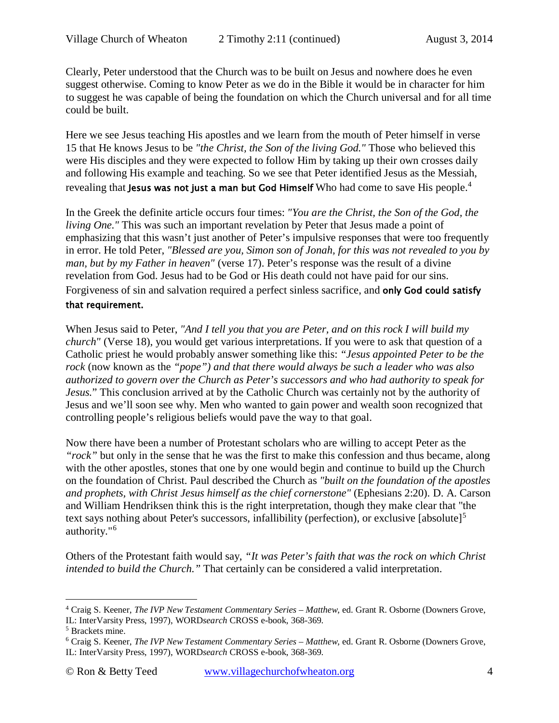Clearly, Peter understood that the Church was to be built on Jesus and nowhere does he even suggest otherwise. Coming to know Peter as we do in the Bible it would be in character for him to suggest he was capable of being the foundation on which the Church universal and for all time could be built.

Here we see Jesus teaching His apostles and we learn from the mouth of Peter himself in verse 15 that He knows Jesus to be *"the Christ, the Son of the living God."* Those who believed this were His disciples and they were expected to follow Him by taking up their own crosses daily and following His example and teaching. So we see that Peter identified Jesus as the Messiah, revealing that **Jesus was not just a man but God Himself** Who had come to save His people.<sup>[4](#page-3-0)</sup>

In the Greek the definite article occurs four times: *"You are the Christ, the Son of the God, the living One."* This was such an important revelation by Peter that Jesus made a point of emphasizing that this wasn't just another of Peter's impulsive responses that were too frequently in error. He told Peter, *"Blessed are you, Simon son of Jonah, for this was not revealed to you by man, but by my Father in heaven"* [\(verse 17\)](http://www.crossbooks.com/verse.asp?ref=Matthew%2016:17). Peter's response was the result of a divine revelation from God. Jesus had to be God or His death could not have paid for our sins. Forgiveness of sin and salvation required a perfect sinless sacrifice, and only God could satisfy that requirement.

When Jesus said to Peter, *"And I tell you that you are Peter, and on this rock I will build my church"* (Verse 18), you would get various interpretations. If you were to ask that question of a Catholic priest he would probably answer something like this: *"Jesus appointed Peter to be the rock* (now known as the *"pope") and that there would always be such a leader who was also authorized to govern over the Church as Peter's successors and who had authority to speak for Jesus.*" This conclusion arrived at by the Catholic Church was certainly not by the authority of Jesus and we'll soon see why. Men who wanted to gain power and wealth soon recognized that controlling people's religious beliefs would pave the way to that goal.

Now there have been a number of Protestant scholars who are willing to accept Peter as the *"rock"* but only in the sense that he was the first to make this confession and thus became, along with the other apostles, stones that one by one would begin and continue to build up the Church on the foundation of Christ. Paul described the Church as *"built on the foundation of the apostles and prophets, with Christ Jesus himself as the chief cornerstone"* [\(Ephesians 2:20\)](http://www.crossbooks.com/verse.asp?ref=Eph+2%3A20). D. A. Carson and William Hendriksen think this is the right interpretation, though they make clear that "the text says nothing about Peter's successors, infallibility (perfection), or exclusive [absolute]<sup>[5](#page-3-1)</sup> authority."[6](#page-3-2)

Others of the Protestant faith would say, *"It was Peter's faith that was the rock on which Christ intended to build the Church."* That certainly can be considered a valid interpretation.

 $\overline{a}$ 

<span id="page-3-0"></span><sup>4</sup> Craig S. Keener, *The IVP New Testament Commentary Series – Matthew*, ed. Grant R. Osborne (Downers Grove, IL: InterVarsity Press, 1997), WORD*search* CROSS e-book, 368-369.

<span id="page-3-1"></span><sup>5</sup> Brackets mine.

<span id="page-3-2"></span><sup>6</sup> Craig S. Keener, *The IVP New Testament Commentary Series – Matthew*, ed. Grant R. Osborne (Downers Grove, IL: InterVarsity Press, 1997), WORD*search* CROSS e-book, 368-369.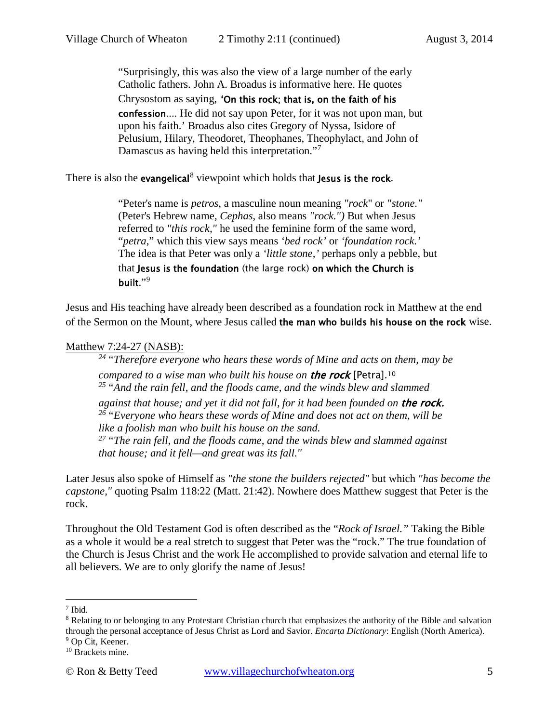"Surprisingly, this was also the view of a large number of the early Catholic fathers. John A. Broadus is informative here. He quotes Chrysostom as saying, 'On this rock; that is, on the faith of his confession.... He did not say upon Peter, for it was not upon man, but upon his faith.' Broadus also cites Gregory of Nyssa, Isidore of Pelusium, Hilary, Theodoret, Theophanes, Theophylact, and John of Damascus as having held this interpretation."<sup>[7](#page-4-0)</sup>

There is also the evangelical<sup>[8](#page-4-1)</sup> viewpoint which holds that Jesus is the rock.

"Peter's name is *petros*, a masculine noun meaning *"rock*" or *"stone."* (Peter's Hebrew name, *Cephas*, also means *"rock.")* But when Jesus referred to *"this rock,"* he used the feminine form of the same word, "*petra*," which this view says means *'bed rock'* or *'foundation rock.'* The idea is that Peter was only a *'little stone,'* perhaps only a pebble, but that Jesus is the foundation (the large rock) on which the Church is built."[9](#page-4-2)

Jesus and His teaching have already been described as a foundation rock in Matthew at the end of the Sermon on the Mount, where Jesus called the man who builds his house on the rock wise.

### Matthew 7:24-27 (NASB):

*24 "Therefore everyone who hears these words of Mine and acts on them, may be compared to a wise man who built his house on* the rock [Petra].[10](#page-4-3) *25 "And the rain fell, and the floods came, and the winds blew and slammed* 

*against that house; and yet it did not fall, for it had been founded on* the rock. *26 "Everyone who hears these words of Mine and does not act on them, will be like a foolish man who built his house on the sand.* 

*27 "The rain fell, and the floods came, and the winds blew and slammed against that house; and it fell—and great was its fall."* 

Later Jesus also spoke of Himself as *"the stone the builders rejected"* but which *"has become the capstone,"* quoting [Psalm 118:22](http://www.crossbooks.com/verse.asp?ref=Ps+118%3A22) [\(Matt. 21:42\)](http://www.crossbooks.com/verse.asp?ref=Mt+21%3A42). Nowhere does Matthew suggest that Peter is the rock.

Throughout the Old Testament God is often described as the "*Rock of Israel."* Taking the Bible as a whole it would be a real stretch to suggest that Peter was the "rock." The true foundation of the Church is Jesus Christ and the work He accomplished to provide salvation and eternal life to all believers. We are to only glorify the name of Jesus!

 $\overline{a}$ 

<span id="page-4-0"></span> $<sup>7</sup>$  Ibid.</sup>

<span id="page-4-1"></span><sup>8</sup> Relating to or belonging to any Protestant Christian church that emphasizes the authority of the Bible and salvation through the personal acceptance of Jesus Christ as Lord and Savior. *Encarta Dictionary*: English (North America). <sup>9</sup> Op Cit, Keener.

<span id="page-4-3"></span><span id="page-4-2"></span><sup>&</sup>lt;sup>10</sup> Brackets mine.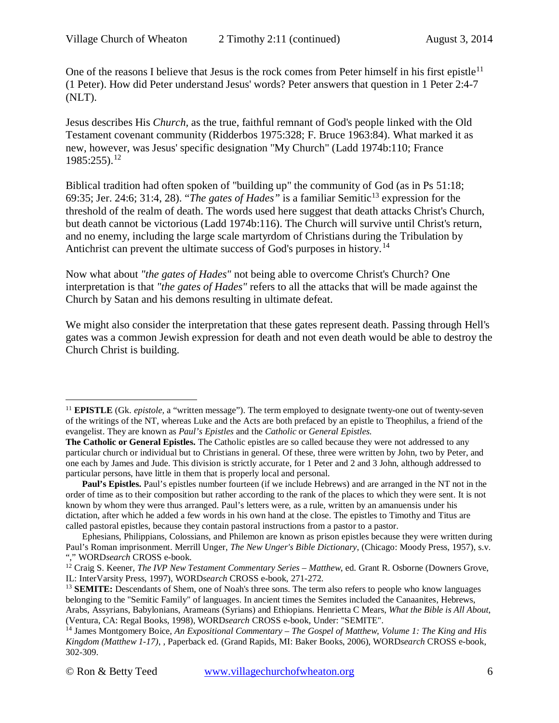One of the reasons I believe that Jesus is the rock comes from Peter himself in his first epistle<sup>[11](#page-5-0)</sup> (1 Peter). How did Peter understand Jesus' words? Peter answers that question in 1 Peter 2:4-7 (NLT).

Jesus describes His *Church,* as the true, faithful remnant of God's people linked with the Old Testament covenant community (Ridderbos 1975:328; F. Bruce 1963:84). What marked it as new, however, was Jesus' specific designation "My Church" (Ladd 1974b:110; France  $1985:255$ ).<sup>[12](#page-5-1)</sup>

Biblical tradition had often spoken of "building up" the community of God (as in [Ps 51:18;](http://www.crossbooks.com/verse.asp?ref=Ps+51%3A18) [69:35;](http://www.crossbooks.com/verse.asp?ref=Ps+69%3A35) [Jer. 24:6;](http://www.crossbooks.com/verse.asp?ref=Jer+24%3A6) [31:4,](http://www.crossbooks.com/verse.asp?ref=Jer+31%3A4) [28\)](http://www.crossbooks.com/verse.asp?ref=Jer+31%3A28). "*The gates of Hades*" is a familiar Semitic<sup>[13](#page-5-2)</sup> expression for the threshold of the realm of death. The words used here suggest that death attacks Christ's Church, but death cannot be victorious (Ladd 1974b:116). The Church will survive until Christ's return, and no enemy, including the large scale martyrdom of Christians during the Tribulation by Antichrist can prevent the ultimate success of God's purposes in history.<sup>[14](#page-5-3)</sup>

Now what about *"the gates of Hades"* not being able to overcome Christ's Church? One interpretation is that *"the gates of Hades"* refers to all the attacks that will be made against the Church by Satan and his demons resulting in ultimate defeat.

We might also consider the interpretation that these gates represent death. Passing through Hell's gates was a common Jewish expression for death and not even death would be able to destroy the Church Christ is building.

<span id="page-5-0"></span><sup>11</sup> **EPISTLE** (Gk. *epistole,* a "written message"). The term employed to designate twenty-one out of twenty-seven of the writings of the NT, whereas Luke and the Acts are both prefaced by an epistle to Theophilus, a friend of the evangelist. They are known as *Paul's Epistles* and the *Catholic* or *General Epistles.*  $\overline{a}$ 

**The Catholic or General Epistles.** The Catholic epistles are so called because they were not addressed to any particular church or individual but to Christians in general. Of these, three were written by John, two by Peter, and one each by James and Jude. This division is strictly accurate, for 1 Peter and 2 and 3 John, although addressed to particular persons, have little in them that is properly local and personal.

**Paul's Epistles.** Paul's epistles number fourteen (if we include Hebrews) and are arranged in the NT not in the order of time as to their composition but rather according to the rank of the places to which they were sent. It is not known by whom they were thus arranged. Paul's letters were, as a rule, written by an amanuensis under his dictation, after which he added a few words in his own hand at the close. The epistles to Timothy and Titus are called pastoral epistles, because they contain pastoral instructions from a pastor to a pastor.

Ephesians, Philippians, Colossians, and Philemon are known as prison epistles because they were written during Paul's Roman imprisonment. Merrill Unger, *The New Unger's Bible Dictionary*, (Chicago: Moody Press, 1957), s.v. "," WORD*search* CROSS e-book.

<span id="page-5-1"></span><sup>&</sup>lt;sup>12</sup> Craig S. Keener, *The IVP New Testament Commentary Series – Matthew*, ed. Grant R. Osborne (Downers Grove, IL: InterVarsity Press, 1997), WORD*search* CROSS e-book, 271-272.

<span id="page-5-2"></span><sup>&</sup>lt;sup>13</sup> **SEMITE:** Descendants of Shem, one of Noah's three sons. The term also refers to people who know languages belonging to the "Semitic Family" of languages. In ancient times the Semites included the Canaanites, Hebrews, Arabs, Assyrians, Babylonians, Arameans (Syrians) and Ethiopians. Henrietta C Mears, *What the Bible is All About*, (Ventura, CA: Regal Books, 1998), WORD*search* CROSS e-book, Under: "SEMITE".

<span id="page-5-3"></span><sup>14</sup> James Montgomery Boice, *An Expositional Commentary – The Gospel of Matthew, Volume 1: The King and His Kingdom (Matthew 1-17)*, , Paperback ed. (Grand Rapids, MI: Baker Books, 2006), WORD*search* CROSS e-book, 302-309.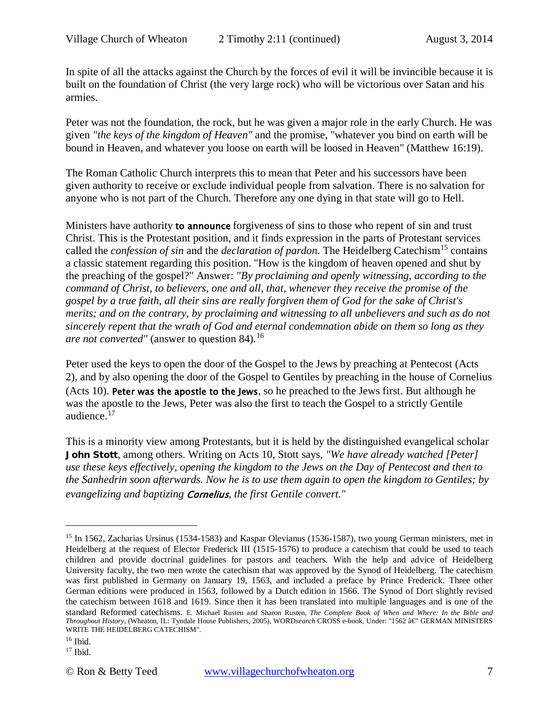In spite of all the attacks against the Church by the forces of evil it will be invincible because it is built on the foundation of Christ (the very large rock) who will be victorious over Satan and his armies.

Peter was not the foundation, the rock, but he was given a major role in the early Church. He was given *"the keys of the kingdom of Heaven"* and the promise, "whatever you bind on earth will be bound in Heaven, and whatever you loose on earth will be loosed in Heaven" (Matthew 16:19).

The Roman Catholic Church interprets this to mean that Peter and his successors have been given authority to receive or exclude individual people from salvation. There is no salvation for anyone who is not part of the Church. Therefore any one dying in that state will go to Hell.

Ministers have authority to announce forgiveness of sins to those who repent of sin and trust Christ. This is the Protestant position, and it finds expression in the parts of Protestant services called the *confession of sin* and the *declaration of pardon*. The Heidelberg Catechism<sup>[15](#page-6-0)</sup> contains a classic statement regarding this position. "How is the kingdom of heaven opened and shut by the preaching of the gospel?" Answer: *"By proclaiming and openly witnessing, according to the command of Christ, to believers, one and all, that, whenever they receive the promise of the gospel by a true faith, all their sins are really forgiven them of God for the sake of Christ's merits; and on the contrary, by proclaiming and witnessing to all unbelievers and such as do not sincerely repent that the wrath of God and eternal condemnation abide on them so long as they are not converted"* (answer to question 84).<sup>[16](#page-6-1)</sup>

Peter used the keys to open the door of the Gospel to the Jews by preaching at Pentecost [\(Acts](http://www.crossbooks.com/verse.asp?ref=Ac+2)  [2\)](http://www.crossbooks.com/verse.asp?ref=Ac+2), and by also opening the door of the Gospel to Gentiles by preaching in the house of Cornelius [\(Acts 10\)](http://www.crossbooks.com/verse.asp?ref=Ac+10). Peter was the apostle to the Jews, so he preached to the Jews first. But although he was the apostle to the Jews, Peter was also the first to teach the Gospel to a strictly Gentile audience.[17](#page-6-2)

This is a minority view among Protestants, but it is held by the distinguished evangelical scholar John Stott, among others. Writing on [Acts 10,](http://www.crossbooks.com/verse.asp?ref=Ac+10) Stott says, *"We have already watched [Peter] use these keys effectively, opening the kingdom to the Jews on the Day of Pentecost and then to the Sanhedrin soon afterwards. Now he is to use them again to open the kingdom to Gentiles; by evangelizing and baptizing* Cornelius*, the first Gentile convert."*

<span id="page-6-1"></span> $16$  Ibid.

 $\overline{a}$ 

<span id="page-6-2"></span> $17$  Ibid.

<span id="page-6-0"></span><sup>&</sup>lt;sup>15</sup> In 1562, Zacharias Ursinus (1534-1583) and Kaspar Olevianus (1536-1587), two young German ministers, met in Heidelberg at the request of Elector Frederick III (1515-1576) to produce a catechism that could be used to teach children and provide doctrinal guidelines for pastors and teachers. With the help and advice of Heidelberg University faculty, the two men wrote the catechism that was approved by the Synod of Heidelberg. The catechism was first published in Germany on January 19, 1563, and included a preface by Prince Frederick. Three other German editions were produced in 1563, followed by a Dutch edition in 1566. The Synod of Dort slightly revised the catechism between 1618 and 1619. Since then it has been translated into multiple languages and is one of the standard Reformed catechisms. E. Michael Rusten and Sharon Rusten, *The Complete Book of When and Where: In the Bible and Throughout History*, (Wheaton, IL: Tyndale House Publishers, 2005), WORDsearch CROSS e-book, Under: "1562 â€' GERMAN MINISTERS WRITE THE HEIDELBERG CATECHISM".